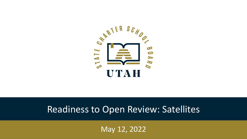

### Readiness to Open Review: Satellites

May 12, 2022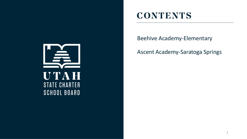

### **CONTENTS**

Beehive Academy-Elementary

Ascent Academy-Saratoga Springs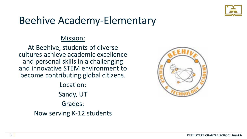

# Beehive Academy-Elementary

#### Mission:

At Beehive, students of diverse cultures achieve academic excellence and personal skills in a challenging and innovative STEM environment to become contributing global citizens.

Location:

Sandy, UT

Grades:

Now serving K-12 students

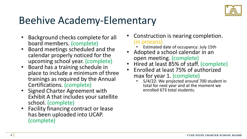

## Beehive Academy-Elementary

- Background checks complete for all board members. (complete)
- Board meetings scheduled and the calendar properly noticed for the upcoming school year. (complete)
- Board has a training schedule in place to include a minimum of three trainings as required by the Annual Certifications. (complete)
- Signed Charter Agreement with Exhibit A that includes your satellite school. (complete)
- Facility financing contract or lease has been uploaded into UCAP. (complete)
- Construction is nearing completion. (in process)
	- Estimated date of occupancy: July 15th
- Adopted a school calendar in an open meeting. (complete)
- Hired at least 85% of staff. (complete)
- Enrolled at least 75% of authorized max for year 1. (complete)<br>• 5/4/22: We projected around 700 student in
	- total for next year and at the moment we enrolled 673 total students.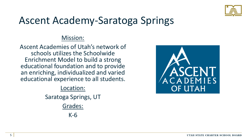

# Ascent Academy-Saratoga Springs

#### Mission:

Ascent Academies of Utah's network of schools utilizes the Schoolwide Enrichment Model to build a strong educational foundation and to provide an enriching, individualized and varied educational experience to all students.

#### Location:

Saratoga Springs, UT

Grades:

K-6